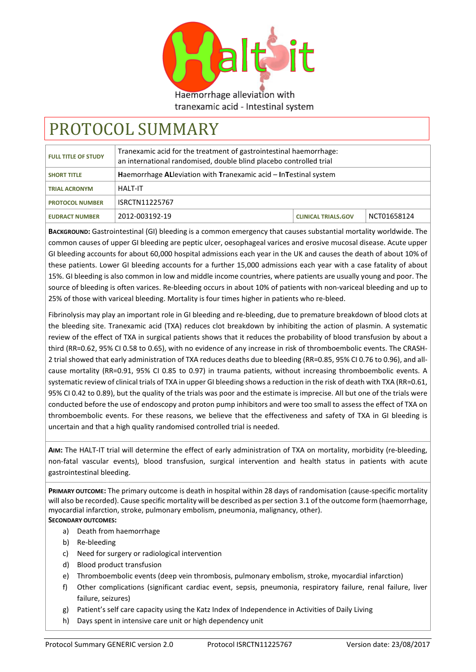

Haemorrhage alleviation with tranexamic acid - Intestinal system

# PROTOCOL SUMMARY

| <b>FULL TITLE OF STUDY</b> | Tranexamic acid for the treatment of gastrointestinal haemorrhage:<br>an international randomised, double blind placebo controlled trial |                            |             |
|----------------------------|------------------------------------------------------------------------------------------------------------------------------------------|----------------------------|-------------|
| <b>SHORT TITLE</b>         | Haemorrhage AL leviation with Tranexamic acid – In Testinal system                                                                       |                            |             |
| <b>TRIAL ACRONYM</b>       | HAIT-IT                                                                                                                                  |                            |             |
| <b>PROTOCOL NUMBER</b>     | ISRCTN11225767                                                                                                                           |                            |             |
| <b>EUDRACT NUMBER</b>      | 2012-003192-19                                                                                                                           | <b>CLINICAL TRIALS.GOV</b> | NCT01658124 |

**BACKGROUND:** Gastrointestinal (GI) bleeding is a common emergency that causes substantial mortality worldwide. The common causes of upper GI bleeding are peptic ulcer, oesophageal varices and erosive mucosal disease. Acute upper GI bleeding accounts for about 60,000 hospital admissions each year in the UK and causes the death of about 10% of these patients. Lower GI bleeding accounts for a further 15,000 admissions each year with a case fatality of about 15%. GI bleeding is also common in low and middle income countries, where patients are usually young and poor. The source of bleeding is often varices. Re-bleeding occurs in about 10% of patients with non-variceal bleeding and up to 25% of those with variceal bleeding. Mortality is four times higher in patients who re-bleed.

Fibrinolysis may play an important role in GI bleeding and re-bleeding, due to premature breakdown of blood clots at the bleeding site. Tranexamic acid (TXA) reduces clot breakdown by inhibiting the action of plasmin. A systematic review of the effect of TXA in surgical patients shows that it reduces the probability of blood transfusion by about a third (RR=0.62, 95% CI 0.58 to 0.65), with no evidence of any increase in risk of thromboembolic events. The CRASH-2 trial showed that early administration of TXA reduces deaths due to bleeding (RR=0.85, 95% CI 0.76 to 0.96), and allcause mortality (RR=0.91, 95% CI 0.85 to 0.97) in trauma patients, without increasing thromboembolic events. A systematic review of clinical trials of TXA in upper GI bleeding shows a reduction in the risk of death with TXA (RR=0.61, 95% CI 0.42 to 0.89), but the quality of the trials was poor and the estimate is imprecise. All but one of the trials were conducted before the use of endoscopy and proton pump inhibitors and were too small to assess the effect of TXA on thromboembolic events. For these reasons, we believe that the effectiveness and safety of TXA in GI bleeding is uncertain and that a high quality randomised controlled trial is needed.

**AIM:** The HALT-IT trial will determine the effect of early administration of TXA on mortality, morbidity (re-bleeding, non-fatal vascular events), blood transfusion, surgical intervention and health status in patients with acute gastrointestinal bleeding.

**PRIMARY OUTCOME:** The primary outcome is death in hospital within 28 days of randomisation (cause-specific mortality will also be recorded). Cause specific mortality will be described as per section 3.1 of the outcome form (haemorrhage, myocardial infarction, stroke, pulmonary embolism, pneumonia, malignancy, other). **SECONDARY OUTCOMES:**

- a) Death from haemorrhage
- b) Re-bleeding
- c) Need for surgery or radiological intervention
- d) Blood product transfusion
- e) Thromboembolic events (deep vein thrombosis, pulmonary embolism, stroke, myocardial infarction)
- f) Other complications (significant cardiac event, sepsis, pneumonia, respiratory failure, renal failure, liver failure, seizures)
- g) Patient's self care capacity using the Katz Index of Independence in Activities of Daily Living
- h) Days spent in intensive care unit or high dependency unit